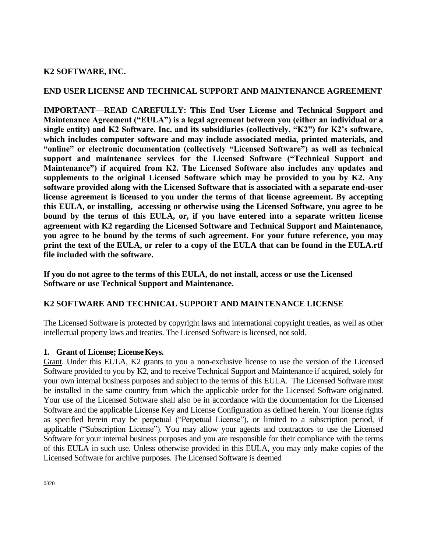## **K2 SOFTWARE, INC.**

#### **END USER LICENSE AND TECHNICAL SUPPORT AND MAINTENANCE AGREEMENT**

**IMPORTANT—READ CAREFULLY: This End User License and Technical Support and Maintenance Agreement ("EULA") is a legal agreement between you (either an individual or a single entity) and K2 Software, Inc. and its subsidiaries (collectively, "K2") for K2's software, which includes computer software and may include associated media, printed materials, and "online" or electronic documentation (collectively "Licensed Software") as well as technical support and maintenance services for the Licensed Software ("Technical Support and Maintenance") if acquired from K2. The Licensed Software also includes any updates and supplements to the original Licensed Software which may be provided to you by K2. Any software provided along with the Licensed Software that is associated with a separate end-user license agreement is licensed to you under the terms of that license agreement. By accepting this EULA, or installing, accessing or otherwise using the Licensed Software, you agree to be bound by the terms of this EULA, or, if you have entered into a separate written license agreement with K2 regarding the Licensed Software and Technical Support and Maintenance, you agree to be bound by the terms of such agreement. For your future reference, you may print the text of the EULA, or refer to a copy of the EULA that can be found in the EULA.rtf file included with the software.**

**If you do not agree to the terms of this EULA, do not install, access or use the Licensed Software or use Technical Support and Maintenance.**

# **K2 SOFTWARE AND TECHNICAL SUPPORT AND MAINTENANCE LICENSE**

The Licensed Software is protected by copyright laws and international copyright treaties, as well as other intellectual property laws and treaties. The Licensed Software is licensed, not sold.

#### **1. Grant of License; LicenseKeys.**

Grant. Under this EULA, K2 grants to you a non-exclusive license to use the version of the Licensed Software provided to you by K2, and to receive Technical Support and Maintenance if acquired, solely for your own internal business purposes and subject to the terms of this EULA. The Licensed Software must be installed in the same country from which the applicable order for the Licensed Software originated. Your use of the Licensed Software shall also be in accordance with the documentation for the Licensed Software and the applicable License Key and License Configuration as defined herein. Your license rights as specified herein may be perpetual ("Perpetual License"), or limited to a subscription period, if applicable ("Subscription License"). You may allow your agents and contractors to use the Licensed Software for your internal business purposes and you are responsible for their compliance with the terms of this EULA in such use. Unless otherwise provided in this EULA, you may only make copies of the Licensed Software for archive purposes. The Licensed Software is deemed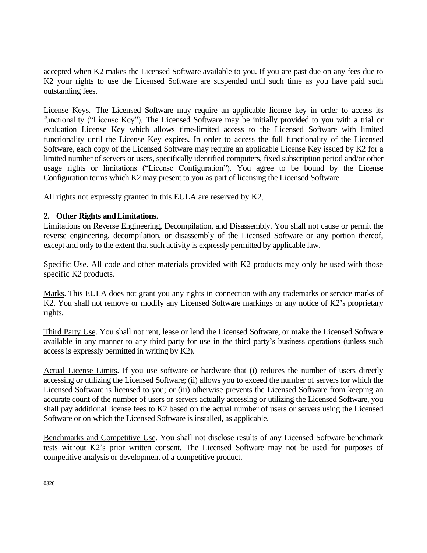accepted when K2 makes the Licensed Software available to you. If you are past due on any fees due to K2 your rights to use the Licensed Software are suspended until such time as you have paid such outstanding fees.

License Keys. The Licensed Software may require an applicable license key in order to access its functionality ("License Key"). The Licensed Software may be initially provided to you with a trial or evaluation License Key which allows time-limited access to the Licensed Software with limited functionality until the License Key expires. In order to access the full functionality of the Licensed Software, each copy of the Licensed Software may require an applicable License Key issued by K2 for a limited number of servers or users, specifically identified computers, fixed subscription period and/or other usage rights or limitations ("License Configuration"). You agree to be bound by the License Configuration terms which K2 may present to you as part of licensing the Licensed Software.

All rights not expressly granted in this EULA are reserved by K2.

## **2. Other Rights andLimitations.**

Limitations on Reverse Engineering, Decompilation, and Disassembly. You shall not cause or permit the reverse engineering, decompilation, or disassembly of the Licensed Software or any portion thereof, except and only to the extent that such activity is expressly permitted by applicable law.

Specific Use. All code and other materials provided with K2 products may only be used with those specific K2 products.

Marks. This EULA does not grant you any rights in connection with any trademarks or service marks of K2. You shall not remove or modify any Licensed Software markings or any notice of K2's proprietary rights.

Third Party Use. You shall not rent, lease or lend the Licensed Software, or make the Licensed Software available in any manner to any third party for use in the third party's business operations (unless such access is expressly permitted in writing by K2).

Actual License Limits. If you use software or hardware that (i) reduces the number of users directly accessing or utilizing the Licensed Software; (ii) allows you to exceed the number of servers for which the Licensed Software is licensed to you; or (iii) otherwise prevents the Licensed Software from keeping an accurate count of the number of users or servers actually accessing or utilizing the Licensed Software, you shall pay additional license fees to K2 based on the actual number of users or servers using the Licensed Software or on which the Licensed Software is installed, as applicable.

Benchmarks and Competitive Use. You shall not disclose results of any Licensed Software benchmark tests without K2's prior written consent. The Licensed Software may not be used for purposes of competitive analysis or development of a competitive product.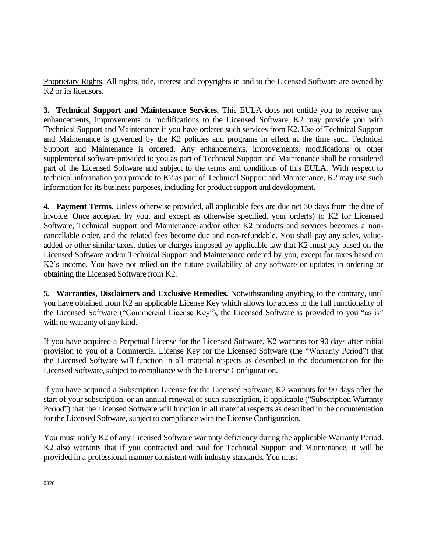Proprietary Rights. All rights, title, interest and copyrights in and to the Licensed Software are owned by K2 or its licensors.

**3. Technical Support and Maintenance Services.** This EULA does not entitle you to receive any enhancements, improvements or modifications to the Licensed Software. K2 may provide you with Technical Support and Maintenance if you have ordered such services from K2. Use of Technical Support and Maintenance is governed by the K2 policies and programs in effect at the time such Technical Support and Maintenance is ordered. Any enhancements, improvements, modifications or other supplemental software provided to you as part of Technical Support and Maintenance shall be considered part of the Licensed Software and subject to the terms and conditions of this EULA. With respect to technical information you provide to K2 as part of Technical Support and Maintenance, K2 may use such information for its business purposes, including for product support and development.

**4. Payment Terms.** Unless otherwise provided, all applicable fees are due net 30 days from the date of invoice. Once accepted by you, and except as otherwise specified, your order(s) to K2 for Licensed Software, Technical Support and Maintenance and/or other K2 products and services becomes a noncancellable order, and the related fees become due and non-refundable. You shall pay any sales, valueadded or other similar taxes, duties or charges imposed by applicable law that K2 must pay based on the Licensed Software and/or Technical Support and Maintenance ordered by you, except for taxes based on K2's income. You have not relied on the future availability of any software or updates in ordering or obtaining the Licensed Software from K2.

**5. Warranties, Disclaimers and Exclusive Remedies.** Notwithstanding anything to the contrary, until you have obtained from K2 an applicable License Key which allows for access to the full functionality of the Licensed Software ("Commercial License Key"), the Licensed Software is provided to you "as is" with no warranty of any kind.

If you have acquired a Perpetual License for the Licensed Software, K2 warrants for 90 days after initial provision to you of a Commercial License Key for the Licensed Software (the "Warranty Period") that the Licensed Software will function in all material respects as described in the documentation for the Licensed Software, subject to compliance with the License Configuration.

If you have acquired a Subscription License for the Licensed Software, K2 warrants for 90 days after the start of your subscription, or an annual renewal of such subscription, if applicable ("Subscription Warranty Period") that the Licensed Software will function in all material respects as described in the documentation for the Licensed Software, subject to compliance with the License Configuration.

You must notify K2 of any Licensed Software warranty deficiency during the applicable Warranty Period. K2 also warrants that if you contracted and paid for Technical Support and Maintenance, it will be provided in a professional manner consistent with industry standards. You must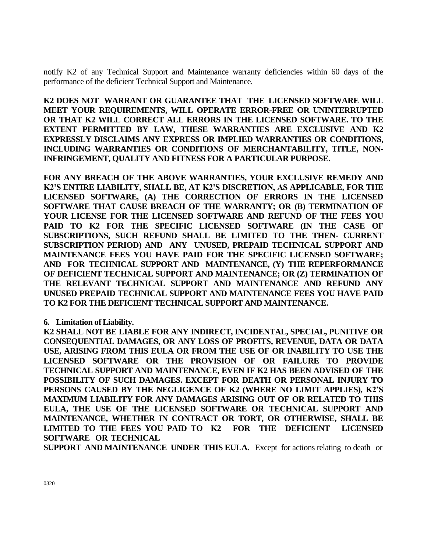notify K2 of any Technical Support and Maintenance warranty deficiencies within 60 days of the performance of the deficient Technical Support and Maintenance.

**K2 DOES NOT WARRANT OR GUARANTEE THAT THE LICENSED SOFTWARE WILL MEET YOUR REQUIREMENTS, WILL OPERATE ERROR-FREE OR UNINTERRUPTED OR THAT K2 WILL CORRECT ALL ERRORS IN THE LICENSED SOFTWARE. TO THE EXTENT PERMITTED BY LAW, THESE WARRANTIES ARE EXCLUSIVE AND K2 EXPRESSLY DISCLAIMS ANY EXPRESS OR IMPLIED WARRANTIES OR CONDITIONS, INCLUDING WARRANTIES OR CONDITIONS OF MERCHANTABILITY, TITLE, NON-INFRINGEMENT, QUALITY AND FITNESS FOR A PARTICULAR PURPOSE.**

**FOR ANY BREACH OF THE ABOVE WARRANTIES, YOUR EXCLUSIVE REMEDY AND K2'S ENTIRE LIABILITY, SHALL BE, AT K2'S DISCRETION, AS APPLICABLE, FOR THE LICENSED SOFTWARE, (A) THE CORRECTION OF ERRORS IN THE LICENSED SOFTWARE THAT CAUSE BREACH OF THE WARRANTY; OR (B) TERMINATION OF YOUR LICENSE FOR THE LICENSED SOFTWARE AND REFUND OF THE FEES YOU PAID TO K2 FOR THE SPECIFIC LICENSED SOFTWARE (IN THE CASE OF SUBSCRIPTIONS, SUCH REFUND SHALL BE LIMITED TO THE THEN- CURRENT SUBSCRIPTION PERIOD) AND ANY UNUSED, PREPAID TECHNICAL SUPPORT AND MAINTENANCE FEES YOU HAVE PAID FOR THE SPECIFIC LICENSED SOFTWARE; AND FOR TECHNICAL SUPPORT AND MAINTENANCE, (Y) THE REPERFORMANCE OF DEFICIENT TECHNICAL SUPPORT AND MAINTENANCE; OR (Z) TERMINATION OF THE RELEVANT TECHNICAL SUPPORT AND MAINTENANCE AND REFUND ANY UNUSED PREPAID TECHNICAL SUPPORT AND MAINTENANCE FEES YOU HAVE PAID TO K2 FOR THE DEFICIENT TECHNICAL SUPPORT AND MAINTENANCE.**

**6. Limitation of Liability.**

**K2 SHALL NOT BE LIABLE FOR ANY INDIRECT, INCIDENTAL, SPECIAL, PUNITIVE OR CONSEQUENTIAL DAMAGES, OR ANY LOSS OF PROFITS, REVENUE, DATA OR DATA USE, ARISING FROM THIS EULA OR FROM THE USE OF OR INABILITY TO USE THE LICENSED SOFTWARE OR THE PROVISION OF OR FAILURE TO PROVIDE TECHNICAL SUPPORT AND MAINTENANCE, EVEN IF K2 HAS BEEN ADVISED OF THE POSSIBILITY OF SUCH DAMAGES. EXCEPT FOR DEATH OR PERSONAL INJURY TO PERSONS CAUSED BY THE NEGLIGENCE OF K2 (WHERE NO LIMIT APPLIES), K2'S MAXIMUM LIABILITY FOR ANY DAMAGES ARISING OUT OF OR RELATED TO THIS EULA, THE USE OF THE LICENSED SOFTWARE OR TECHNICAL SUPPORT AND MAINTENANCE, WHETHER IN CONTRACT OR TORT, OR OTHERWISE, SHALL BE LIMITED TO THE FEES YOU PAID TO K2 FOR THE DEFICIENT LICENSED SOFTWARE OR TECHNICAL**

**SUPPORT AND MAINTENANCE UNDER THIS EULA.** Except for actions relating to death or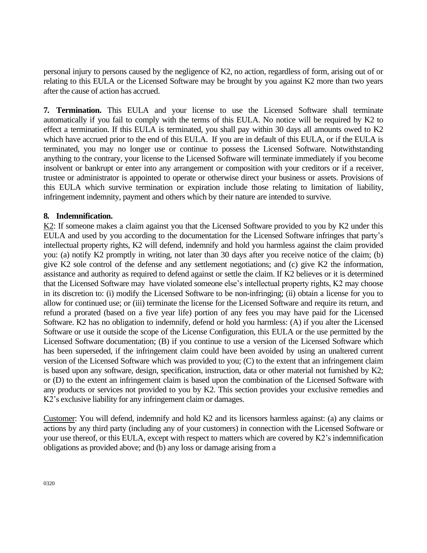personal injury to persons caused by the negligence of K2, no action, regardless of form, arising out of or relating to this EULA or the Licensed Software may be brought by you against K2 more than two years after the cause of action has accrued.

**7. Termination.** This EULA and your license to use the Licensed Software shall terminate automatically if you fail to comply with the terms of this EULA. No notice will be required by K2 to effect a termination. If this EULA is terminated, you shall pay within 30 days all amounts owed to K2 which have accrued prior to the end of this EULA. If you are in default of this EULA, or if the EULA is terminated, you may no longer use or continue to possess the Licensed Software. Notwithstanding anything to the contrary, your license to the Licensed Software will terminate immediately if you become insolvent or bankrupt or enter into any arrangement or composition with your creditors or if a receiver, trustee or administrator is appointed to operate or otherwise direct your business or assets. Provisions of this EULA which survive termination or expiration include those relating to limitation of liability, infringement indemnity, payment and others which by their nature are intended to survive.

#### **8. Indemnification.**

K2: If someone makes a claim against you that the Licensed Software provided to you by K2 under this EULA and used by you according to the documentation for the Licensed Software infringes that party's intellectual property rights, K2 will defend, indemnify and hold you harmless against the claim provided you: (a) notify K2 promptly in writing, not later than 30 days after you receive notice of the claim; (b) give K2 sole control of the defense and any settlement negotiations; and (c) give K2 the information, assistance and authority as required to defend against or settle the claim. If K2 believes or it is determined that the Licensed Software may have violated someone else's intellectual property rights, K2 may choose in its discretion to: (i) modify the Licensed Software to be non-infringing; (ii) obtain a license for you to allow for continued use; or (iii) terminate the license for the Licensed Software and require its return, and refund a prorated (based on a five year life) portion of any fees you may have paid for the Licensed Software. K2 has no obligation to indemnify, defend or hold you harmless: (A) if you alter the Licensed Software or use it outside the scope of the License Configuration, this EULA or the use permitted by the Licensed Software documentation; (B) if you continue to use a version of the Licensed Software which has been superseded, if the infringement claim could have been avoided by using an unaltered current version of the Licensed Software which was provided to you; (C) to the extent that an infringement claim is based upon any software, design, specification, instruction, data or other material not furnished by K2; or (D) to the extent an infringement claim is based upon the combination of the Licensed Software with any products or services not provided to you by K2. This section provides your exclusive remedies and K2's exclusive liability for any infringement claim or damages.

Customer: You will defend, indemnify and hold K2 and its licensors harmless against: (a) any claims or actions by any third party (including any of your customers) in connection with the Licensed Software or your use thereof, or this EULA, except with respect to matters which are covered by K2's indemnification obligations as provided above; and (b) any loss or damage arising from a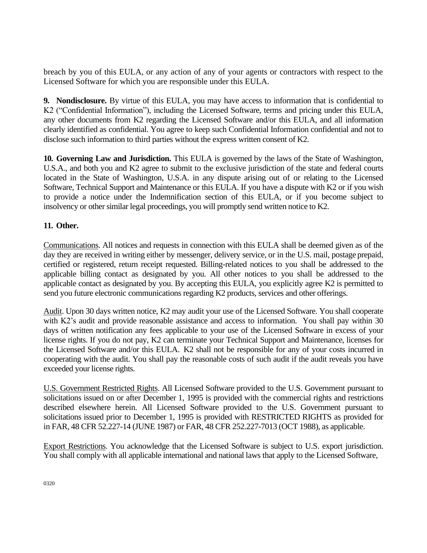breach by you of this EULA, or any action of any of your agents or contractors with respect to the Licensed Software for which you are responsible under this EULA.

**9. Nondisclosure.** By virtue of this EULA, you may have access to information that is confidential to K2 ("Confidential Information"), including the Licensed Software, terms and pricing under this EULA, any other documents from K2 regarding the Licensed Software and/or this EULA, and all information clearly identified as confidential. You agree to keep such Confidential Information confidential and not to disclose such information to third parties without the express written consent of K2.

**10. Governing Law and Jurisdiction.** This EULA is governed by the laws of the State of Washington, U.S.A., and both you and K2 agree to submit to the exclusive jurisdiction of the state and federal courts located in the State of Washington, U.S.A. in any dispute arising out of or relating to the Licensed Software, Technical Support and Maintenance or this EULA. If you have a dispute with K2 or if you wish to provide a notice under the Indemnification section of this EULA, or if you become subject to insolvency or other similar legal proceedings, you will promptly send written notice to K2.

# **11. Other.**

Communications. All notices and requests in connection with this EULA shall be deemed given as of the day they are received in writing either by messenger, delivery service, or in the U.S. mail, postage prepaid, certified or registered, return receipt requested. Billing-related notices to you shall be addressed to the applicable billing contact as designated by you. All other notices to you shall be addressed to the applicable contact as designated by you. By accepting this EULA, you explicitly agree K2 is permitted to send you future electronic communications regarding K2 products, services and other offerings.

Audit. Upon 30 days written notice, K2 may audit your use of the Licensed Software. You shall cooperate with K2's audit and provide reasonable assistance and access to information. You shall pay within 30 days of written notification any fees applicable to your use of the Licensed Software in excess of your license rights. If you do not pay, K2 can terminate your Technical Support and Maintenance, licenses for the Licensed Software and/or this EULA. K2 shall not be responsible for any of your costs incurred in cooperating with the audit. You shall pay the reasonable costs of such audit if the audit reveals you have exceeded your license rights.

U.S. Government Restricted Rights. All Licensed Software provided to the U.S. Government pursuant to solicitations issued on or after December 1, 1995 is provided with the commercial rights and restrictions described elsewhere herein. All Licensed Software provided to the U.S. Government pursuant to solicitations issued prior to December 1, 1995 is provided with RESTRICTED RIGHTS as provided for in FAR, 48 CFR 52.227-14 (JUNE 1987) or FAR, 48 CFR 252.227-7013 (OCT 1988), as applicable.

Export Restrictions. You acknowledge that the Licensed Software is subject to U.S. export jurisdiction. You shall comply with all applicable international and national laws that apply to the Licensed Software,